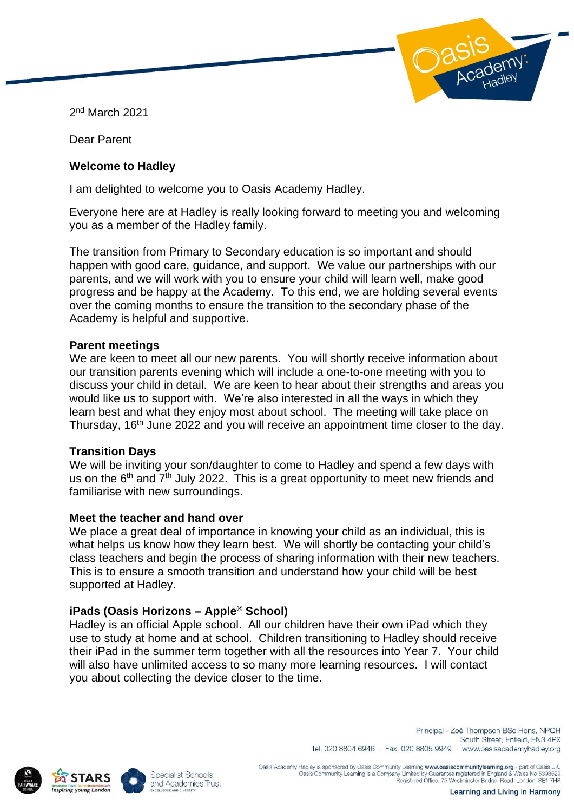2 nd March 2021

Dear Parent

### **Welcome to Hadley**

I am delighted to welcome you to Oasis Academy Hadley.

Everyone here are at Hadley is really looking forward to meeting you and welcoming you as a member of the Hadley family.

The transition from Primary to Secondary education is so important and should happen with good care, guidance, and support. We value our partnerships with our parents, and we will work with you to ensure your child will learn well, make good progress and be happy at the Academy. To this end, we are holding several events over the coming months to ensure the transition to the secondary phase of the Academy is helpful and supportive.

### **Parent meetings**

We are keen to meet all our new parents. You will shortly receive information about our transition parents evening which will include a one-to-one meeting with you to discuss your child in detail. We are keen to hear about their strengths and areas you would like us to support with. We're also interested in all the ways in which they learn best and what they enjoy most about school. The meeting will take place on Thursday, 16<sup>th</sup> June 2022 and you will receive an appointment time closer to the day.

# **Transition Days**

We will be inviting your son/daughter to come to Hadley and spend a few days with us on the  $6<sup>th</sup>$  and  $7<sup>th</sup>$  July 2022. This is a great opportunity to meet new friends and familiarise with new surroundings.

### **Meet the teacher and hand over**

We place a great deal of importance in knowing your child as an individual, this is what helps us know how they learn best. We will shortly be contacting your child's class teachers and begin the process of sharing information with their new teachers. This is to ensure a smooth transition and understand how your child will be best supported at Hadley.

# **iPads (Oasis Horizons – Apple® School)**

Hadley is an official Apple school. All our children have their own iPad which they use to study at home and at school. Children transitioning to Hadley should receive their iPad in the summer term together with all the resources into Year 7. Your child will also have unlimited access to so many more learning resources. I will contact you about collecting the device closer to the time.





Principal - Zoë Thompson BSc Hons, NPQH South Street, Enfield, FN3 4PX Tel: 020 8804 6946 · Fax: 020 8805 9949 · www.oasisacademyhadley.org

Oasis Academy Hadley is sponsored by Oasis Community Learning www.oasiscommunitylearning.org - part of Oasis UK Oasis Community Learning is a Company Limited by Guarantee registered in England & Wales No 5398529<br>Registered Office: 75 Westminster Bridge Road, London, SE1 7HS